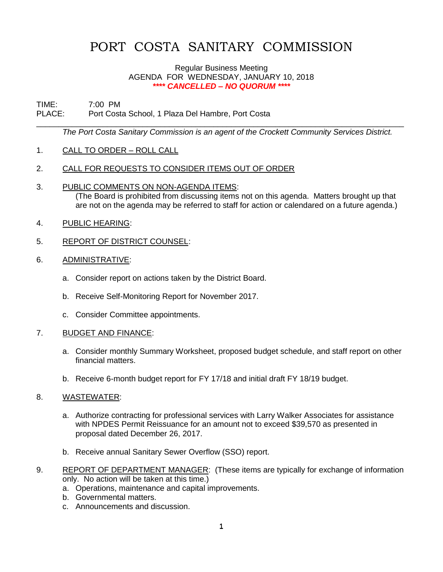# PORT COSTA SANITARY COMMISSION

#### Regular Business Meeting AGENDA FOR WEDNESDAY, JANUARY 10, 2018 *\*\*\*\* CANCELLED – NO QUORUM \*\*\*\**

# TIME: 7:00 PM PLACE: Port Costa School, 1 Plaza Del Hambre, Port Costa

*The Port Costa Sanitary Commission is an agent of the Crockett Community Services District.* 

\_\_\_\_\_\_\_\_\_\_\_\_\_\_\_\_\_\_\_\_\_\_\_\_\_\_\_\_\_\_\_\_\_\_\_\_\_\_\_\_\_\_\_\_\_\_\_\_\_\_\_\_\_\_\_\_\_\_\_\_\_\_\_\_\_\_\_\_\_\_\_\_\_\_\_\_\_\_\_\_\_\_\_

- 1. CALL TO ORDER ROLL CALL
- 2. CALL FOR REQUESTS TO CONSIDER ITEMS OUT OF ORDER
- 3. PUBLIC COMMENTS ON NON-AGENDA ITEMS: (The Board is prohibited from discussing items not on this agenda. Matters brought up that are not on the agenda may be referred to staff for action or calendared on a future agenda.)
- 4. PUBLIC HEARING:
- 5. REPORT OF DISTRICT COUNSEL:
- 6. ADMINISTRATIVE:
	- a. Consider report on actions taken by the District Board.
	- b. Receive Self-Monitoring Report for November 2017.
	- c. Consider Committee appointments.

## 7. BUDGET AND FINANCE:

- a. Consider monthly Summary Worksheet, proposed budget schedule, and staff report on other financial matters.
- b. Receive 6-month budget report for FY 17/18 and initial draft FY 18/19 budget.

## 8. WASTEWATER:

- a. Authorize contracting for professional services with Larry Walker Associates for assistance with NPDES Permit Reissuance for an amount not to exceed \$39,570 as presented in proposal dated December 26, 2017.
- b. Receive annual Sanitary Sewer Overflow (SSO) report.
- 9. REPORT OF DEPARTMENT MANAGER: (These items are typically for exchange of information only. No action will be taken at this time.)
	- a. Operations, maintenance and capital improvements.
	- b. Governmental matters.
	- c. Announcements and discussion.